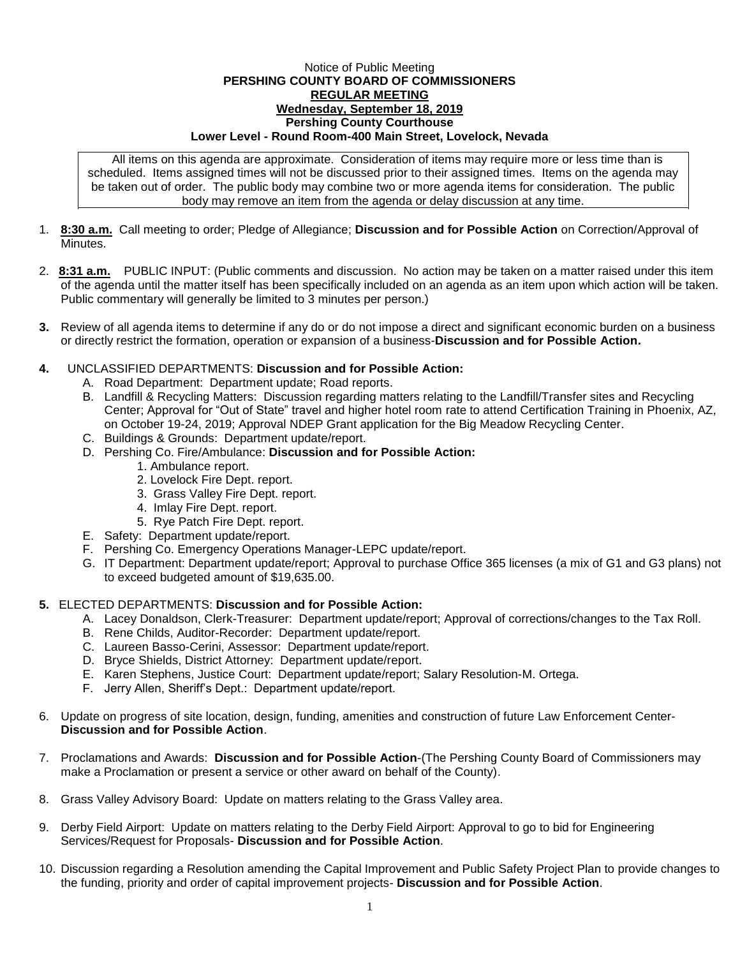## Notice of Public Meeting **PERSHING COUNTY BOARD OF COMMISSIONERS REGULAR MEETING Wednesday, September 18, 2019 Pershing County Courthouse Lower Level - Round Room-400 Main Street, Lovelock, Nevada**

All items on this agenda are approximate. Consideration of items may require more or less time than is scheduled. Items assigned times will not be discussed prior to their assigned times. Items on the agenda may be taken out of order. The public body may combine two or more agenda items for consideration. The public body may remove an item from the agenda or delay discussion at any time.

- 1. **8:30 a.m.** Call meeting to order; Pledge of Allegiance; **Discussion and for Possible Action** on Correction/Approval of **Minutes**
- 2. **8:31 a.m.** PUBLIC INPUT: (Public comments and discussion. No action may be taken on a matter raised under this item of the agenda until the matter itself has been specifically included on an agenda as an item upon which action will be taken. Public commentary will generally be limited to 3 minutes per person.)
- **3.** Review of all agenda items to determine if any do or do not impose a direct and significant economic burden on a business or directly restrict the formation, operation or expansion of a business-**Discussion and for Possible Action.**
- **4.** UNCLASSIFIED DEPARTMENTS: **Discussion and for Possible Action:**
	- A. Road Department: Department update; Road reports.
	- B. Landfill & Recycling Matters: Discussion regarding matters relating to the Landfill/Transfer sites and Recycling Center; Approval for "Out of State" travel and higher hotel room rate to attend Certification Training in Phoenix, AZ, on October 19-24, 2019; Approval NDEP Grant application for the Big Meadow Recycling Center.
	- C. Buildings & Grounds: Department update/report.
	- D. Pershing Co. Fire/Ambulance: **Discussion and for Possible Action:**
		- 1. Ambulance report.
		- 2. Lovelock Fire Dept. report.
		- 3. Grass Valley Fire Dept. report.
		- 4. Imlay Fire Dept. report.
		- 5. Rye Patch Fire Dept. report.
	- E. Safety: Department update/report.
	- F. Pershing Co. Emergency Operations Manager-LEPC update/report.
	- G. IT Department: Department update/report; Approval to purchase Office 365 licenses (a mix of G1 and G3 plans) not to exceed budgeted amount of \$19,635.00.

## **5.** ELECTED DEPARTMENTS: **Discussion and for Possible Action:**

- A. Lacey Donaldson, Clerk-Treasurer: Department update/report; Approval of corrections/changes to the Tax Roll.
- B. Rene Childs, Auditor-Recorder: Department update/report.
- C. Laureen Basso-Cerini, Assessor: Department update/report.
- D. Bryce Shields, District Attorney: Department update/report.
- E. Karen Stephens, Justice Court: Department update/report; Salary Resolution-M. Ortega.
- F. Jerry Allen, Sheriff's Dept.: Department update/report.
- 6. Update on progress of site location, design, funding, amenities and construction of future Law Enforcement Center-**Discussion and for Possible Action**.
- 7. Proclamations and Awards: **Discussion and for Possible Action**-(The Pershing County Board of Commissioners may make a Proclamation or present a service or other award on behalf of the County).
- 8. Grass Valley Advisory Board: Update on matters relating to the Grass Valley area.
- 9. Derby Field Airport: Update on matters relating to the Derby Field Airport: Approval to go to bid for Engineering Services/Request for Proposals- **Discussion and for Possible Action**.
- 10. Discussion regarding a Resolution amending the Capital Improvement and Public Safety Project Plan to provide changes to the funding, priority and order of capital improvement projects- **Discussion and for Possible Action**.